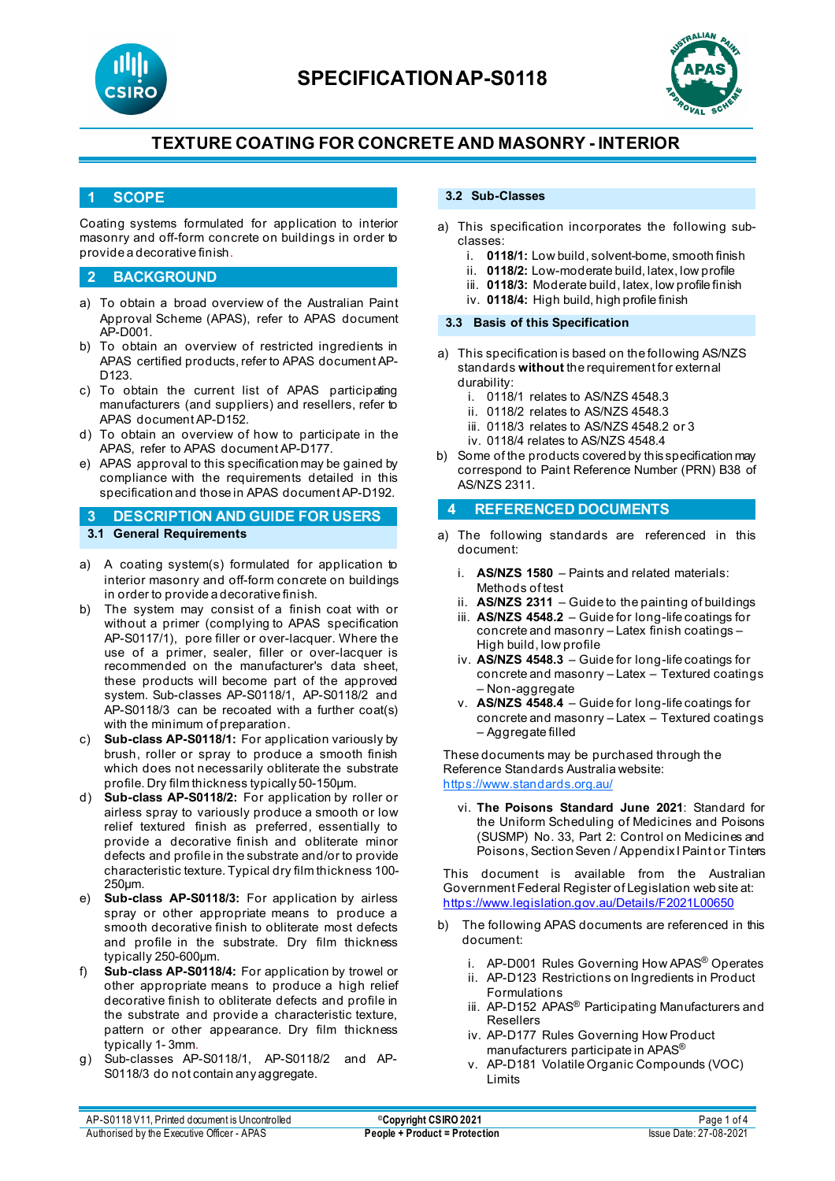



### **1 SCOPE**

Coating systems formulated for application to interior masonry and off-form concrete on buildings in order to provide a decorative finish.

#### **2 BACKGROUND**

- a) To obtain a broad overview of the Australian Paint Approval Scheme (APAS), refer to APAS document AP-D001.
- b) To obtain an overview of restricted ingredients in APAS certified products, refer to APAS document AP-D123.
- c) To obtain the current list of APAS participating manufacturers (and suppliers) and resellers, refer to APAS document AP-D152.
- d) To obtain an overview of how to participate in the APAS, refer to APAS document AP-D177.
- e) APAS approval to this specification may be gained by compliance with the requirements detailed in this specification and those in APAS document AP-D192.

# **3 DESCRIPTION AND GUIDE FOR USERS**

- **3.1 General Requirements**
- a) A coating system(s) formulated for application to interior masonry and off-form concrete on buildings in order to provide a decorative finish.
- b) The system may consist of a finish coat with or without a primer (complying to APAS specification AP-S0117/1), pore filler or over-lacquer. Where the use of a primer, sealer, filler or over-lacquer is recommended on the manufacturer's data sheet, these products will become part of the approved system. Sub-classes AP-S0118/1, AP-S0118/2 and AP-S0118/3 can be recoated with a further coat(s) with the minimum of preparation.
- c) **Sub-class AP-S0118/1:** For application variously by brush, roller or spray to produce a smooth finish which does not necessarily obliterate the substrate profile. Dry film thickness typically 50-150μm.
- d) **Sub-class AP-S0118/2:** For application by roller or airless spray to variously produce a smooth or low relief textured finish as preferred, essentially to provide a decorative finish and obliterate minor defects and profile in the substrate and/or to provide characteristic texture. Typical dry film thickness 100- 250μm.
- e) **Sub-class AP-S0118/3:** For application by airless spray or other appropriate means to produce a smooth decorative finish to obliterate most defects and profile in the substrate. Dry film thickness typically 250-600μm.
- Sub-class AP-S0118/4: For application by trowel or other appropriate means to produce a high relief decorative finish to obliterate defects and profile in the substrate and provide a characteristic texture, pattern or other appearance. Dry film thickness typically 1- 3mm.
- g) Sub-classes AP-S0118/1, AP-S0118/2 and AP-S0118/3 do not contain any aggregate.

#### **3.2 Sub-Classes**

- a) This specification incorporates the following subclasses:
	- i. **0118/1:** Low build, solvent-borne, smooth finish
	- ii. **0118/2:** Low-moderate build, latex, low profile
	- iii. **0118/3:** Moderate build, latex, low profile finish
	- iv. **0118/4:** High build, high profile finish

#### **3.3 Basis of this Specification**

- a) This specification is based on the following AS/NZS standards **without** the requirement for external durability:
	- i. 0118/1 relates to AS/NZS 4548.3
	- ii. 0118/2 relates to AS/NZS 4548.3
	- iii. 0118/3 relates to AS/NZS 4548.2 or 3
	- iv. 0118/4 relates to AS/NZS 4548.4
- b) Some of the products covered by this specification may correspond to Paint Reference Number (PRN) B38 of AS/NZS 2311.

### **4 REFERENCED DOCUMENTS**

- a) The following standards are referenced in this document:
	- i. **AS/NZS 1580** Paints and related materials: Methods of test
	- ii. **AS/NZS 2311**  Guide to the painting of buildings
	- iii. **AS/NZS 4548.2** [Guide](https://www.saiglobal.com/online/Script/Details.asp?DocN=AS0733764320AT) for long-life coatings for concrete and masonry – Latex finish coatings – High build, low profile
	- iv. **AS/NZS 4548.3** [Guide](https://www.saiglobal.com/online/Script/Details.asp?DocN=AS0733764320AT) for long-life coatings for concrete and masonry – Latex – Textured coatings – Non-aggregate
	- v. **AS/NZS 4548.4**  [Guide](https://www.saiglobal.com/online/Script/Details.asp?DocN=AS0733764320AT) for long-life coatings for concrete and masonry – Latex – Textured coatings – Aggregate filled

These documents may be purchased through the Reference Standards Australia website: <https://www.standards.org.au/>

vi. **The Poisons Standard June 2021**: Standard for the Uniform Scheduling of Medicines and Poisons (SUSMP) No. 33, Part 2: Control on Medicines and Poisons, Section Seven / Appendix I Paint or Tinters

This document is available from the Australian Government Federal Register of Legislation web site at: <https://www.legislation.gov.au/Details/F2021L00650>

- b) The following APAS documents are referenced in this document:
	- i. AP-D001 Rules Governing How APAS® Operates
	- ii. AP-D123 Restrictions on Ingredients in Product Formulations
	- iii. AP-D152 APAS<sup>®</sup> Participating Manufacturers and Resellers
	- iv. AP-D177 Rules Governing How Product manufacturers participate in APAS®
	- v. AP-D181 Volatile Organic Compounds (VOC) Limits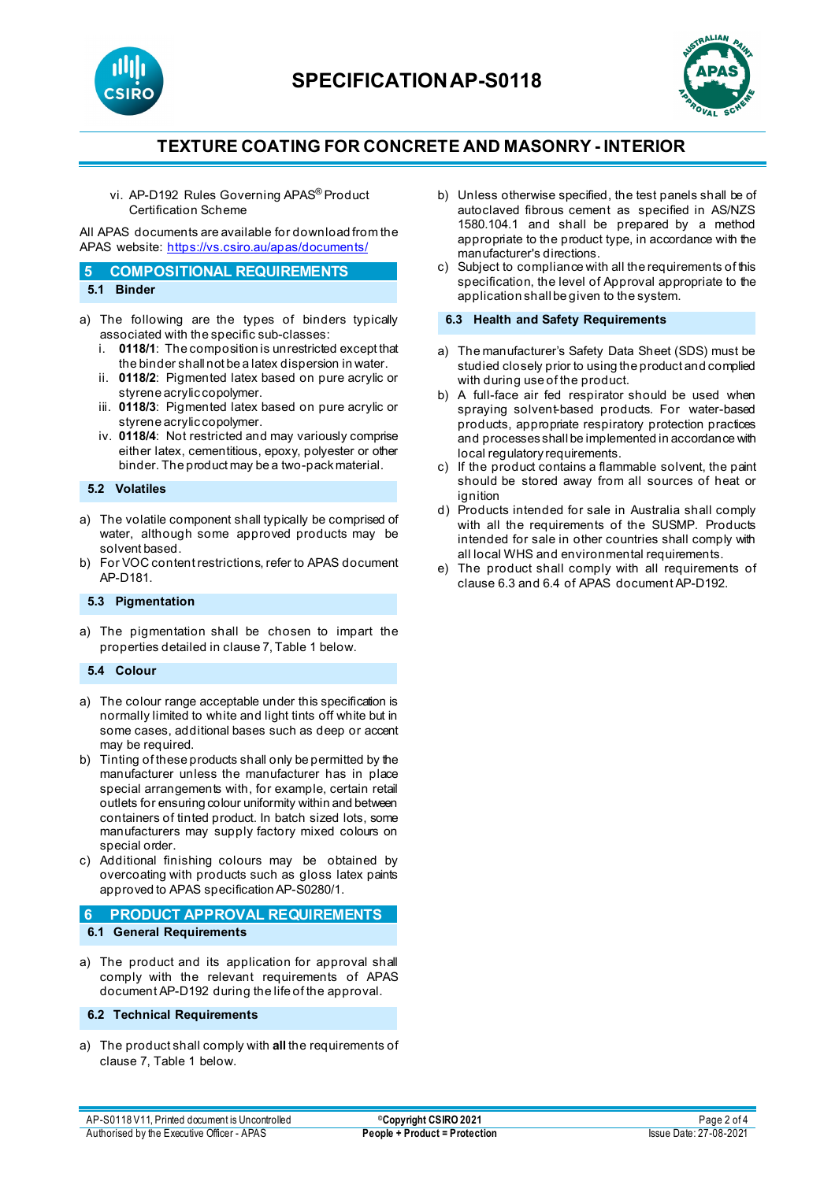



vi. AP-D192 Rules Governing APAS® Product Certification Scheme

All APAS documents are available for download from the APAS website: <https://vs.csiro.au/apas/documents/>

- **5 COMPOSITIONAL REQUIREMENTS 5.1 Binder**
- a) The following are the types of binders typically associated with the specific sub-classes:
	- i. **0118/1**: The composition is unrestricted except that the binder shall not be a latex dispersion in water.
	- ii. **0118/2**: Pigmented latex based on pure acrylic or styrene acrylic copolymer.
	- iii. **0118/3**: Pigmented latex based on pure acrylic or styrene acrylic copolymer.
	- iv. **0118/4**: Not restricted and may variously comprise either latex, cementitious, epoxy, polyester or other binder. The product may be a two-pack material.

#### **5.2 Volatiles**

- a) The volatile component shall typically be comprised of water, although some approved products may be solvent based.
- b) For VOC content restrictions, refer to APAS document AP-D181.

#### **5.3 Pigmentation**

a) The pigmentation shall be chosen to impart the properties detailed in clause 7, Table 1 below.

#### **5.4 Colour**

- a) The colour range acceptable under this specification is normally limited to white and light tints off white but in some cases, additional bases such as deep or accent may be required.
- b) Tinting of these products shall only be permitted by the manufacturer unless the manufacturer has in place special arrangements with, for example, certain retail outlets for ensuring colour uniformity within and between containers of tinted product. In batch sized lots, some manufacturers may supply factory mixed colours on special order.
- c) Additional finishing colours may be obtained by overcoating with products such as gloss latex paints approved to APAS specification AP-S0280/1.

### **6 PRODUCT APPROVAL REQUIREMENTS 6.1 General Requirements**

a) The product and its application for approval shall comply with the relevant requirements of APAS document AP-D192 during the life of the approval.

#### **6.2 Technical Requirements**

a) The product shall comply with **all** the requirements of clause 7, Table 1 below.

- b) Unless otherwise specified, the test panels shall be of autoclaved fibrous cement as specified in AS/NZS 1580.104.1 and shall be prepared by a method appropriate to the product type, in accordance with the manufacturer's directions.
- c) Subject to compliance with all the requirements of this specification, the level of Approval appropriate to the application shall be given to the system.

#### **6.3 Health and Safety Requirements**

- a) The manufacturer's Safety Data Sheet (SDS) must be studied closely prior to using the product and complied with during use of the product.
- b) A full-face air fed respirator should be used when spraying solvent-based products. For water-based products, appropriate respiratory protection practices and processes shall be implemented in accordance with local regulatory requirements.
- c) If the product contains a flammable solvent, the paint should be stored away from all sources of heat or ignition
- d) Products intended for sale in Australia shall comply with all the requirements of the SUSMP. Products intended for sale in other countries shall comply with all local WHS and environmental requirements.
- e) The product shall comply with all requirements of clause 6.3 and 6.4 of APAS document AP-D192.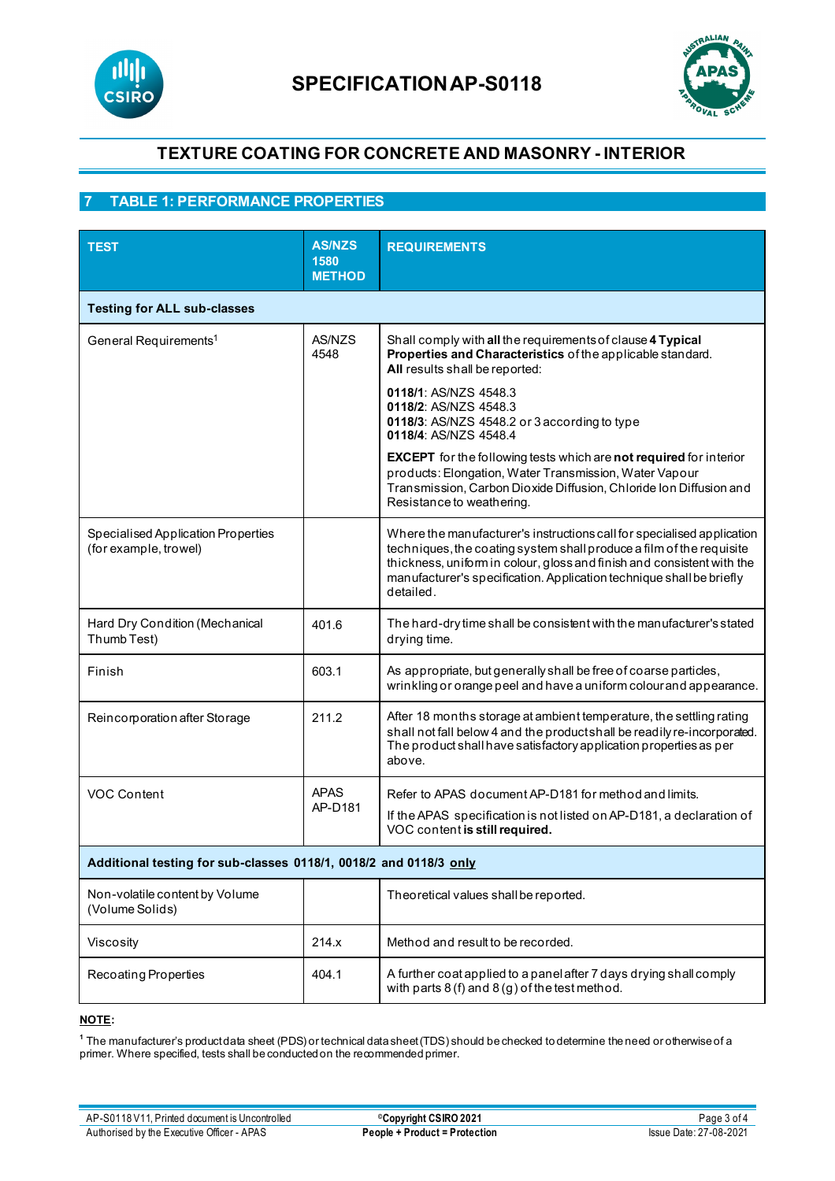



### **7 TABLE 1: PERFORMANCE PROPERTIES**

| <b>TEST</b>                                                       | <b>AS/NZS</b><br>1580<br><b>METHOD</b> | <b>REQUIREMENTS</b>                                                                                                                                                                                                                                                                                           |  |  |
|-------------------------------------------------------------------|----------------------------------------|---------------------------------------------------------------------------------------------------------------------------------------------------------------------------------------------------------------------------------------------------------------------------------------------------------------|--|--|
| <b>Testing for ALL sub-classes</b>                                |                                        |                                                                                                                                                                                                                                                                                                               |  |  |
| General Requirements <sup>1</sup>                                 | AS/NZS<br>4548                         | Shall comply with all the requirements of clause 4 Typical<br>Properties and Characteristics of the applicable standard.<br>All results shall be reported:                                                                                                                                                    |  |  |
|                                                                   |                                        | 0118/1: AS/NZS 4548.3<br>0118/2: AS/NZS 4548.3<br>0118/3: AS/NZS 4548.2 or 3 according to type<br>0118/4: AS/NZS 4548.4                                                                                                                                                                                       |  |  |
|                                                                   |                                        | <b>EXCEPT</b> for the following tests which are not required for interior<br>products: Elongation, Water Transmission, Water Vapour<br>Transmission, Carbon Dioxide Diffusion, Chloride Ion Diffusion and<br>Resistance to weathering.                                                                        |  |  |
| Specialised Application Properties<br>(for example, trowel)       |                                        | Where the manufacturer's instructions call for specialised application<br>techniques, the coating system shall produce a film of the requisite<br>thickness, uniform in colour, gloss and finish and consistent with the<br>manufacturer's specification. Application technique shall be briefly<br>detailed. |  |  |
| Hard Dry Condition (Mechanical<br>Thumb Test)                     | 401.6                                  | The hard-dry time shall be consistent with the manufacturer's stated<br>drying time.                                                                                                                                                                                                                          |  |  |
| Finish                                                            | 603.1                                  | As appropriate, but generally shall be free of coarse particles,<br>wrinkling or orange peel and have a uniform colour and appearance.                                                                                                                                                                        |  |  |
| Reincorporation after Storage                                     | 211.2                                  | After 18 months storage at ambient temperature, the settling rating<br>shall not fall below 4 and the productshall be readily re-incorporated.<br>The product shall have satisfactory application properties as per<br>above.                                                                                 |  |  |
| <b>VOC Content</b>                                                | <b>APAS</b><br>AP-D181                 | Refer to APAS document AP-D181 for method and limits.<br>If the APAS specification is not listed on AP-D181, a declaration of<br>VOC content is still required.                                                                                                                                               |  |  |
| Additional testing for sub-classes 0118/1, 0018/2 and 0118/3 only |                                        |                                                                                                                                                                                                                                                                                                               |  |  |
| Non-volatile content by Volume<br>(Volume Solids)                 |                                        | Theoretical values shall be reported.                                                                                                                                                                                                                                                                         |  |  |
| Viscosity                                                         | 214.x                                  | Method and result to be recorded.                                                                                                                                                                                                                                                                             |  |  |
| Recoating Properties                                              | 404.1                                  | A further coat applied to a panel after 7 days drying shall comply<br>with parts $8(f)$ and $8(g)$ of the test method.                                                                                                                                                                                        |  |  |

### **NOTE:**

**<sup>1</sup>** The manufacturer's product data sheet (PDS) or technical data sheet (TDS) should be checked to determine the need or otherwise of a primer. Where specified, tests shall be conducted on the recommended primer.